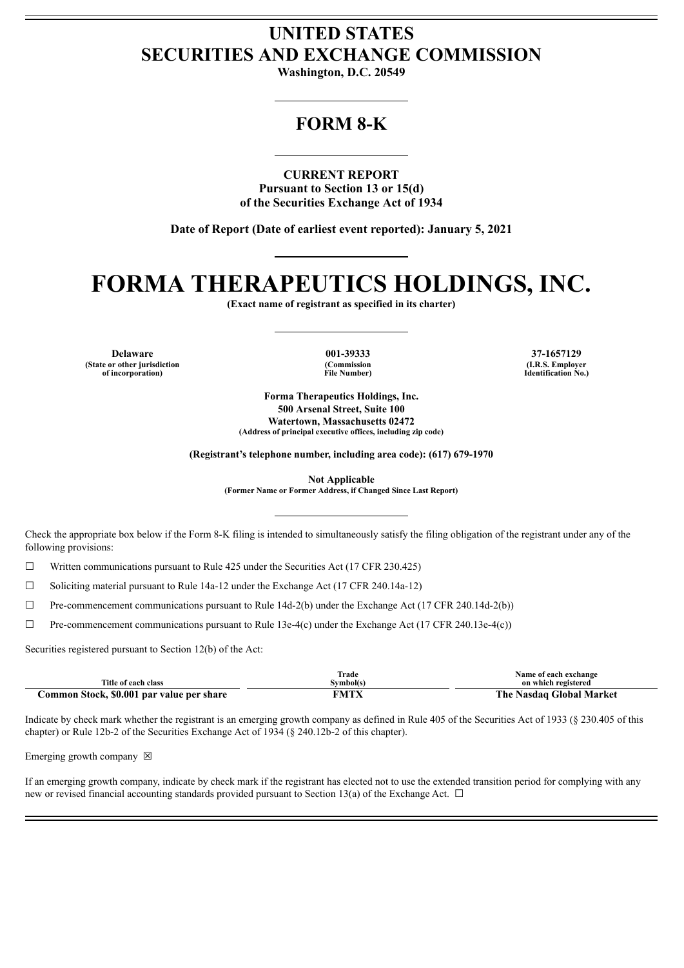## **UNITED STATES SECURITIES AND EXCHANGE COMMISSION**

**Washington, D.C. 20549**

### **FORM 8-K**

**CURRENT REPORT Pursuant to Section 13 or 15(d) of the Securities Exchange Act of 1934**

**Date of Report (Date of earliest event reported): January 5, 2021**

# **FORMA THERAPEUTICS HOLDINGS, INC.**

**(Exact name of registrant as specified in its charter)**

**Delaware 001-39333 37-1657129 (State or other jurisdiction of incorporation)**

**(Commission File Number)**

**(I.R.S. Employer Identification No.)**

**Forma Therapeutics Holdings, Inc. 500 Arsenal Street, Suite 100 Watertown, Massachusetts 02472 (Address of principal executive offices, including zip code)**

**(Registrant's telephone number, including area code): (617) 679-1970**

**Not Applicable (Former Name or Former Address, if Changed Since Last Report)**

Check the appropriate box below if the Form 8-K filing is intended to simultaneously satisfy the filing obligation of the registrant under any of the following provisions:

☐ Written communications pursuant to Rule 425 under the Securities Act (17 CFR 230.425)

 $\Box$  Soliciting material pursuant to Rule 14a-12 under the Exchange Act (17 CFR 240.14a-12)

 $\Box$  Pre-commencement communications pursuant to Rule 14d-2(b) under the Exchange Act (17 CFR 240.14d-2(b))

☐ Pre-commencement communications pursuant to Rule 13e-4(c) under the Exchange Act (17 CFR 240.13e-4(c))

Securities registered pursuant to Section 12(b) of the Act:

|                                           | Trade     | Name of each exchange    |
|-------------------------------------------|-----------|--------------------------|
| Title of each class                       | Svmbol(s) | on which registered      |
| Common Stock, \$0.001 par value per share | FMTX      | The Nasdag Global Market |

Indicate by check mark whether the registrant is an emerging growth company as defined in Rule 405 of the Securities Act of 1933 (§ 230.405 of this chapter) or Rule 12b-2 of the Securities Exchange Act of 1934 (§ 240.12b-2 of this chapter).

Emerging growth company  $\boxtimes$ 

If an emerging growth company, indicate by check mark if the registrant has elected not to use the extended transition period for complying with any new or revised financial accounting standards provided pursuant to Section 13(a) of the Exchange Act.  $\Box$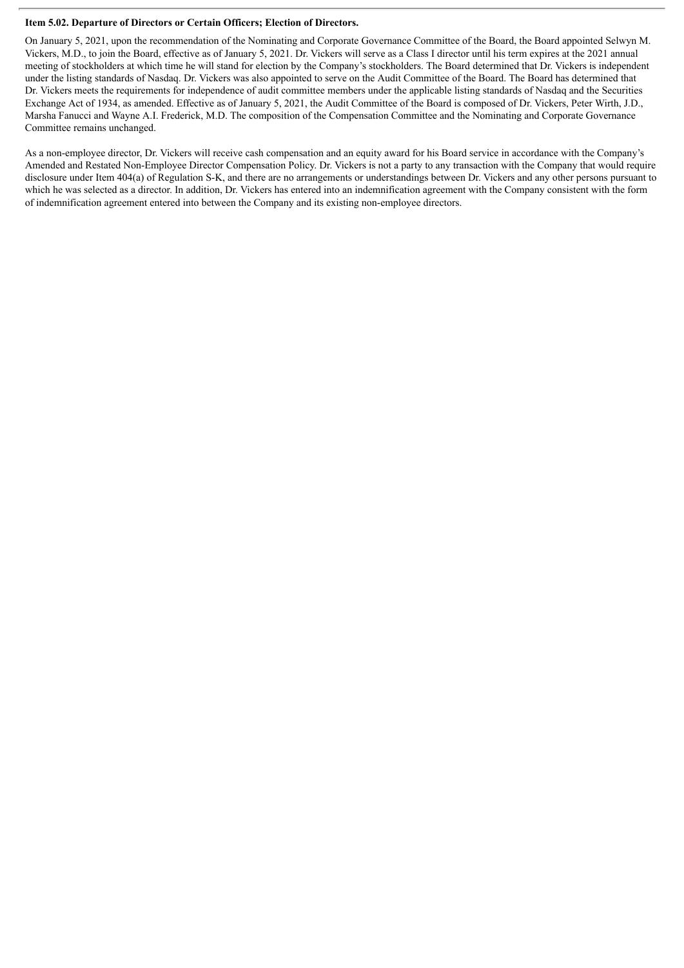#### **Item 5.02. Departure of Directors or Certain Officers; Election of Directors.**

On January 5, 2021, upon the recommendation of the Nominating and Corporate Governance Committee of the Board, the Board appointed Selwyn M. Vickers, M.D., to join the Board, effective as of January 5, 2021. Dr. Vickers will serve as a Class I director until his term expires at the 2021 annual meeting of stockholders at which time he will stand for election by the Company's stockholders. The Board determined that Dr. Vickers is independent under the listing standards of Nasdaq. Dr. Vickers was also appointed to serve on the Audit Committee of the Board. The Board has determined that Dr. Vickers meets the requirements for independence of audit committee members under the applicable listing standards of Nasdaq and the Securities Exchange Act of 1934, as amended. Effective as of January 5, 2021, the Audit Committee of the Board is composed of Dr. Vickers, Peter Wirth, J.D., Marsha Fanucci and Wayne A.I. Frederick, M.D. The composition of the Compensation Committee and the Nominating and Corporate Governance Committee remains unchanged.

As a non-employee director, Dr. Vickers will receive cash compensation and an equity award for his Board service in accordance with the Company's Amended and Restated Non-Employee Director Compensation Policy. Dr. Vickers is not a party to any transaction with the Company that would require disclosure under Item 404(a) of Regulation S-K, and there are no arrangements or understandings between Dr. Vickers and any other persons pursuant to which he was selected as a director. In addition, Dr. Vickers has entered into an indemnification agreement with the Company consistent with the form of indemnification agreement entered into between the Company and its existing non-employee directors.